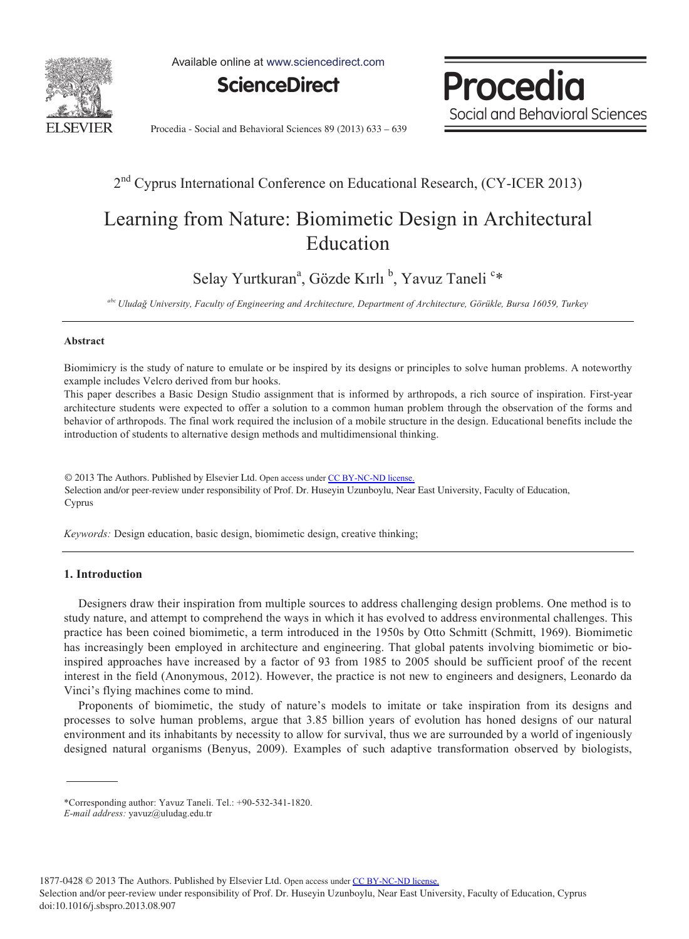

Available online at www.sciencedirect.com



**Procedia** Social and Behavioral Sciences

Procedia - Social and Behavioral Sciences 89 (2013) 633 – 639

# 2<sup>nd</sup> Cyprus International Conference on Educational Research, (CY-ICER 2013)

# Learning from Nature: Biomimetic Design in Architectural Education

Selay Yurtkuran<sup>a</sup>, Gözde Kırlı <sup>b</sup>, Yavuz Taneli <sup>c</sup>\*

*abc Uludağ University, Faculty of Engineering and Architecture, Department of Architecture, Görükle, Bursa 16059, Turkey* 

### **Abstract**

Biomimicry is the study of nature to emulate or be inspired by its designs or principles to solve human problems. A noteworthy example includes Velcro derived from bur hooks.

This paper describes a Basic Design Studio assignment that is informed by arthropods, a rich source of inspiration. First-year architecture students were expected to offer a solution to a common human problem through the observation of the forms and behavior of arthropods. The final work required the inclusion of a mobile structure in the design. Educational benefits include the introduction of students to alternative design methods and multidimensional thinking.

Selection and/or peer-review under responsibility of Prof. Dr. Huseyin Uzunboylu, Near East University, Faculty of Education, Cyprus Cyprus© 2013 The Authors. Published by Elsevier Ltd. Open access under [CC BY-NC-ND license.](http://creativecommons.org/licenses/by-nc-nd/3.0/)

*Keywords:* Design education, basic design, biomimetic design, creative thinking;

## **1. Introduction**

Designers draw their inspiration from multiple sources to address challenging design problems. One method is to study nature, and attempt to comprehend the ways in which it has evolved to address environmental challenges. This practice has been coined biomimetic, a term introduced in the 1950s by Otto Schmitt (Schmitt, 1969). Biomimetic has increasingly been employed in architecture and engineering. That global patents involving biomimetic or bioinspired approaches have increased by a factor of 93 from 1985 to 2005 should be sufficient proof of the recent interest in the field (Anonymous, 2012). However, the practice is not new to engineers and designers, Leonardo da Vinci's flying machines come to mind.

Proponents of biomimetic, the study of nature's models to imitate or take inspiration from its designs and processes to solve human problems, argue that 3.85 billion years of evolution has honed designs of our natural environment and its inhabitants by necessity to allow for survival, thus we are surrounded by a world of ingeniously designed natural organisms (Benyus, 2009). Examples of such adaptive transformation observed by biologists,

1877-0428 © 2013 The Authors. Published by Elsevier Ltd. Open access under [CC BY-NC-ND license.](http://creativecommons.org/licenses/by-nc-nd/3.0/)

Selection and/or peer-review under responsibility of Prof. Dr. Huseyin Uzunboylu, Near East University, Faculty of Education, Cyprus doi: 10.1016/j.sbspro.2013.08.907

<sup>\*</sup>Corresponding author: Yavuz Taneli. Tel.: +90-532-341-1820.

*E-mail address:* yavuz@uludag.edu.tr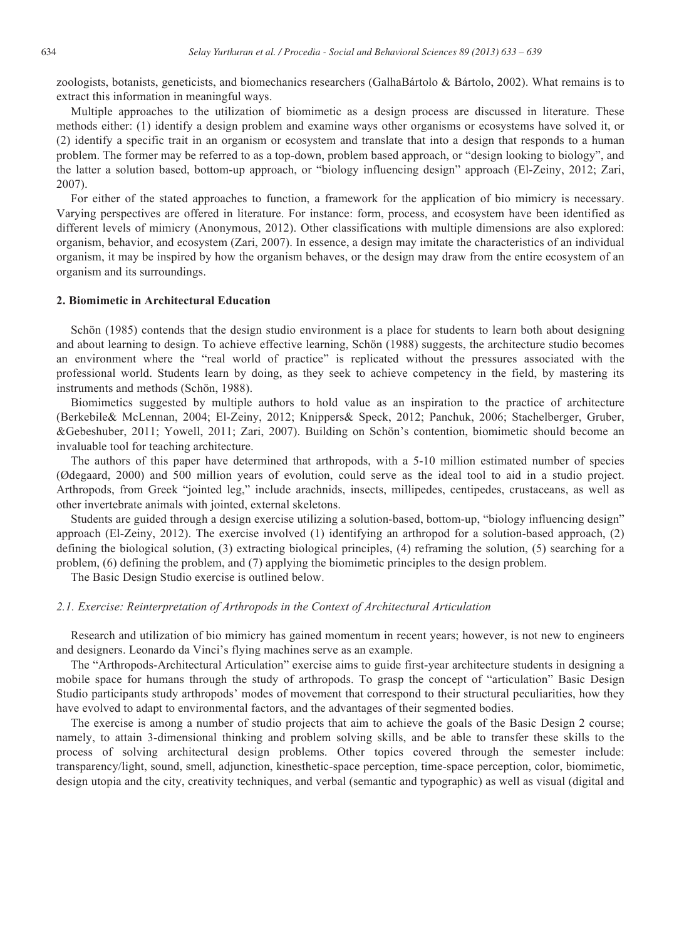zoologists, botanists, geneticists, and biomechanics researchers (GalhaBártolo & Bártolo, 2002). What remains is to extract this information in meaningful ways.

Multiple approaches to the utilization of biomimetic as a design process are discussed in literature. These methods either: (1) identify a design problem and examine ways other organisms or ecosystems have solved it, or (2) identify a specific trait in an organism or ecosystem and translate that into a design that responds to a human problem. The former may be referred to as a top-down, problem based approach, or "design looking to biology", and the latter a solution based, bottom-up approach, or "biology influencing design" approach (El-Zeiny, 2012; Zari, 2007).

For either of the stated approaches to function, a framework for the application of bio mimicry is necessary. Varying perspectives are offered in literature. For instance: form, process, and ecosystem have been identified as different levels of mimicry (Anonymous, 2012). Other classifications with multiple dimensions are also explored: organism, behavior, and ecosystem (Zari, 2007). In essence, a design may imitate the characteristics of an individual organism, it may be inspired by how the organism behaves, or the design may draw from the entire ecosystem of an organism and its surroundings.

### **2. Biomimetic in Architectural Education**

Schön (1985) contends that the design studio environment is a place for students to learn both about designing and about learning to design. To achieve effective learning, Schön (1988) suggests, the architecture studio becomes an environment where the "real world of practice" is replicated without the pressures associated with the professional world. Students learn by doing, as they seek to achieve competency in the field, by mastering its instruments and methods (Schön, 1988).

Biomimetics suggested by multiple authors to hold value as an inspiration to the practice of architecture (Berkebile& McLennan, 2004; El-Zeiny, 2012; Knippers& Speck, 2012; Panchuk, 2006; Stachelberger, Gruber, &Gebeshuber, 2011; Yowell, 2011; Zari, 2007). Building on Schön's contention, biomimetic should become an invaluable tool for teaching architecture.

The authors of this paper have determined that arthropods, with a 5-10 million estimated number of species (Ødegaard, 2000) and 500 million years of evolution, could serve as the ideal tool to aid in a studio project. Arthropods, from Greek "jointed leg," include arachnids, insects, millipedes, centipedes, crustaceans, as well as other invertebrate animals with jointed, external skeletons.

Students are guided through a design exercise utilizing a solution-based, bottom-up, "biology influencing design" approach (El-Zeiny, 2012). The exercise involved (1) identifying an arthropod for a solution-based approach, (2) defining the biological solution, (3) extracting biological principles, (4) reframing the solution, (5) searching for a problem, (6) defining the problem, and (7) applying the biomimetic principles to the design problem.

The Basic Design Studio exercise is outlined below.

### *2.1. Exercise: Reinterpretation of Arthropods in the Context of Architectural Articulation*

Research and utilization of bio mimicry has gained momentum in recent years; however, is not new to engineers and designers. Leonardo da Vinci's flying machines serve as an example.

The "Arthropods-Architectural Articulation" exercise aims to guide first-year architecture students in designing a mobile space for humans through the study of arthropods. To grasp the concept of "articulation" Basic Design Studio participants study arthropods' modes of movement that correspond to their structural peculiarities, how they have evolved to adapt to environmental factors, and the advantages of their segmented bodies.

The exercise is among a number of studio projects that aim to achieve the goals of the Basic Design 2 course; namely, to attain 3-dimensional thinking and problem solving skills, and be able to transfer these skills to the process of solving architectural design problems. Other topics covered through the semester include: transparency/light, sound, smell, adjunction, kinesthetic-space perception, time-space perception, color, biomimetic, design utopia and the city, creativity techniques, and verbal (semantic and typographic) as well as visual (digital and